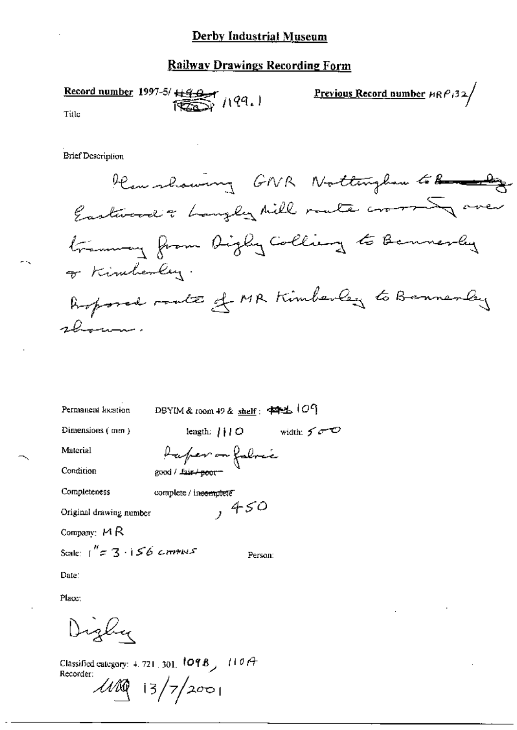# Railway Drawings Recording Form

Record number 1997-5/  $\frac{199}{1000}$  /199. Title

Previous Record number  $\mu \mathcal{R} \rho_1$ 32/

**Brief Description** 

Permanent location

DBYIM & room 49 & shelf: 中毛(09

length:  $\bigcup O$  width:  $\bigcap_{\alpha\in\mathcal{O}}$ 

Dimensions (mm)

Material

Condition

Completeness

complete / ineemplete  $,450$ 

good / fair / poor-

Raper on fabric

Original drawing number

Company:  $M R$ 

Scale:  $1'' = 3.156$  crimins

Person:

Date:

Place:

Digliy

Classified category: 4, 721, 301,  $109B$ ,  $110A$ Recorder:  $1100$  13/7/2001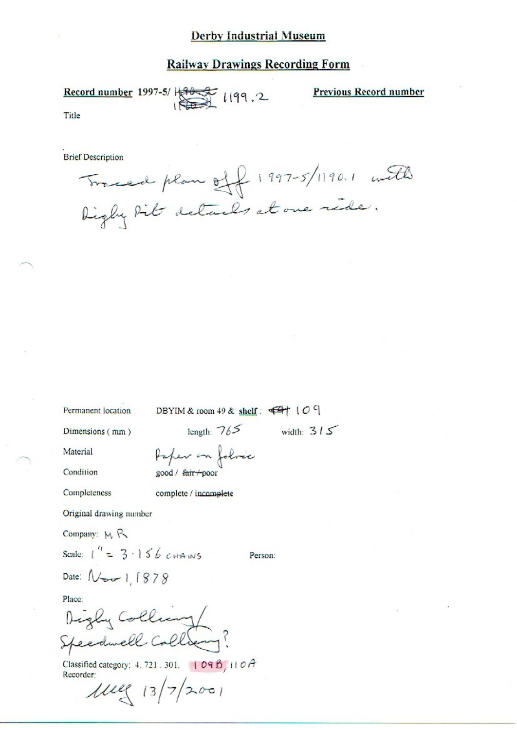### **Railway Drawings Recording Form**

Record number 1997-5/H 30 1199.2 Title

Previous Record number

**Brief Description** 

Traced plan off 1997-5/1190.1 with Digly bit details at one ride.

Permanent location

DBYIM & room 49 & shelf:  $\overline{44}$  (O 9)

Person:

Dimensions (mm)

length:  $765$  width:  $315$ 

Material Condition Paper on folice good / fair +poor

Completeness

complete / incomplete

Original drawing number

Company: MR

Scale:  $1^4 = 3.156$  cHANNS

Date:  $N_{\text{max}}$  | 1878

Place:

Digly Colling/

Classified category: 4.721.301. 109B, 110A Recorder:

 $1112 (13)72001$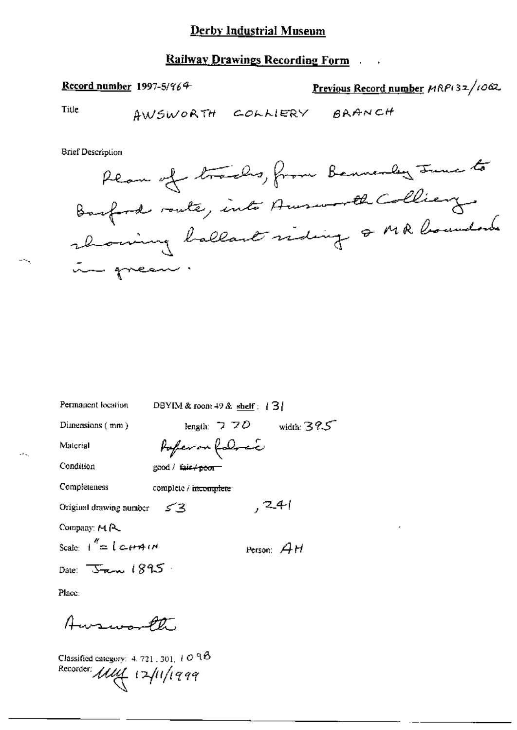### **Railway Drawings Recording Form**

### Record number 1997-5/964

Previous Record number HRP(32/1062

Title

**Brief Description** 

DBYIM & room 49 & shelf:  $\{3\}$ Permanent location length:  $770$  width:  $395$ Dimensions (mm) Pafer on follow Material Condition good / fair+<del>poor</del> Completeness complete / incomplete  $, 241$ Original drawing number 53 Company: MR Scale:  $1^{\prime\prime} = 1$   $\leftarrow$   $\leftrightarrow$   $\rightarrow$   $\rightarrow$ Person:  $AH$ Date: Jan. 1895.

Place:

Ausworth

Classified category: 4, 721, 301,  $+$  O  $98$ Recorder: Mul 12/11/1999

----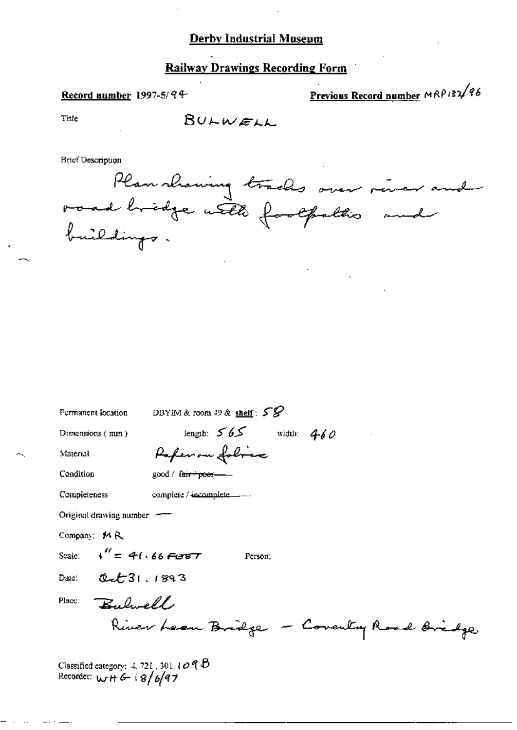## **Railway Drawings Recording Form**

### Record number 1997-5/94-

Previous Record number MRP132/96

Title

BULWELL

**Brief Description** 

Plan showing tracks over river and<br>road hridge with footpaths and

| Permanent location                     | DBYIM & room $49$ & shelf: $58$             |
|----------------------------------------|---------------------------------------------|
| Dimensions (mm)                        | length: $565$<br>width: $460$               |
| Material                               | Paper on folice                             |
| Condition                              | good / farripoor-                           |
| Completeness                           | complete / incomplete ______                |
| Original drawing number $-\rightarrow$ |                                             |
| Company: MR                            |                                             |
| Scale: $\sqrt{4} = 41.66$ FLSBT        | Person:                                     |
| 0.221.1893<br>Date:                    |                                             |
| Bulwell<br>Place:                      |                                             |
|                                        | River Leon Bridge<br>- Coventry Road Bridge |
|                                        |                                             |

Classified category:  $4.721$ , 301.1098<br>Recorder: wt+6-18/6/97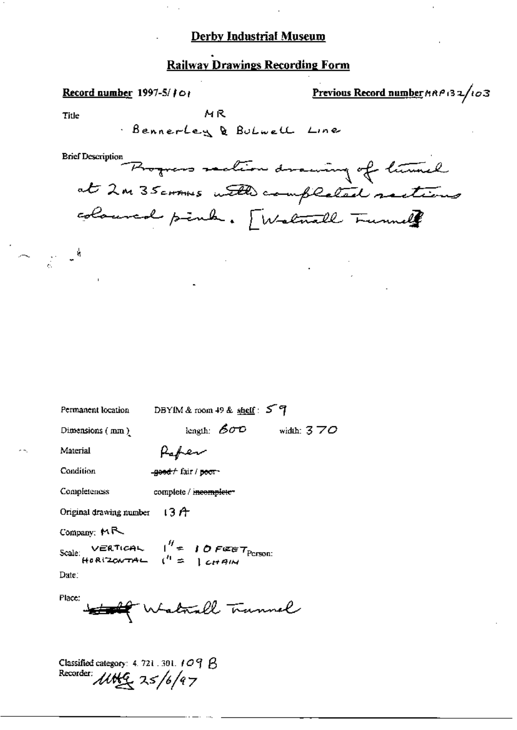## **Railway Drawings Recording Form**

Previous Record number  $\beta \wedge \beta$  (32/103 Record number 1997-5/101 MR Title Bennerley & Bulwell Line Brief Description Progress saction drawing of turnel at 2m 35 cornes with completed suttins coloured pink. [Walnull Trumal  $\frac{1}{2}$   $\frac{1}{2}$ DBYIM & room 49 & shelf: 5 역 Permanent location length:  $600$  width:  $370$ Dimensions (mm) Paper Material Condition good f fair / poor-Completeness complete / incomplete-Original drawing number  $\pm 3$   $A$ Company:  $M \rightarrow$ Scale: VERTICAL  $1'' = 10$  FEET Person:<br>HORIZONTAL  $(1) = 1$  CHAIN Date: Place: the Walkall Trunnel Classified category: 4, 721, 301, 109 B

Recorder:  $\mu$ the  $25/6/97$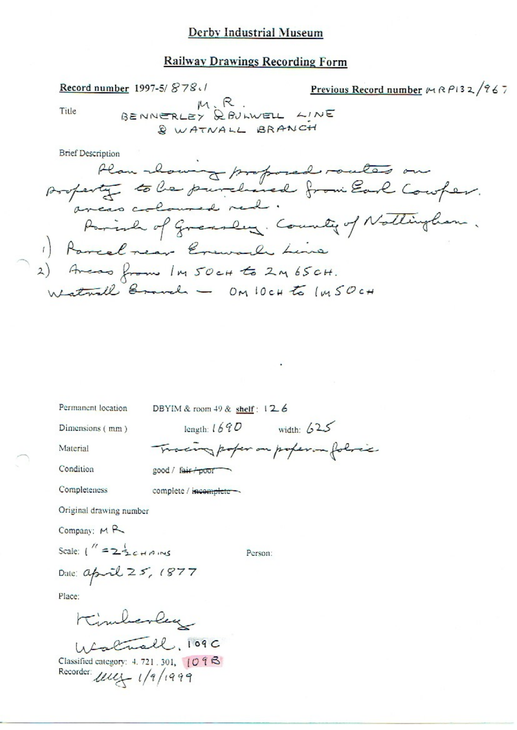### **Railway Drawings Recording Form**

Title

Record number 1997-5/878./

Previous Record number & RP132/967

BENNERLEY R. R. & WATNALL BRANCH

Permanent location

DBYIM & room 49 & shelf: 126

Dimensions (mm)

length:  $1690$  width:  $625$ 

Tracing poper on poper on folice

Material

Condition

Completeness

good / fair poor

complete / incomplete -

Original drawing number

Company; MR

Scale:  $1'' = 2\frac{1}{2}c H A N S$ 

Person:

Date: april 25, 1877

Place:

Kimberley Unall, 109C<br>Classified category: 4.721.301, 109B Recorder  $\mu$ ,  $\sqrt{q}/(q q q)$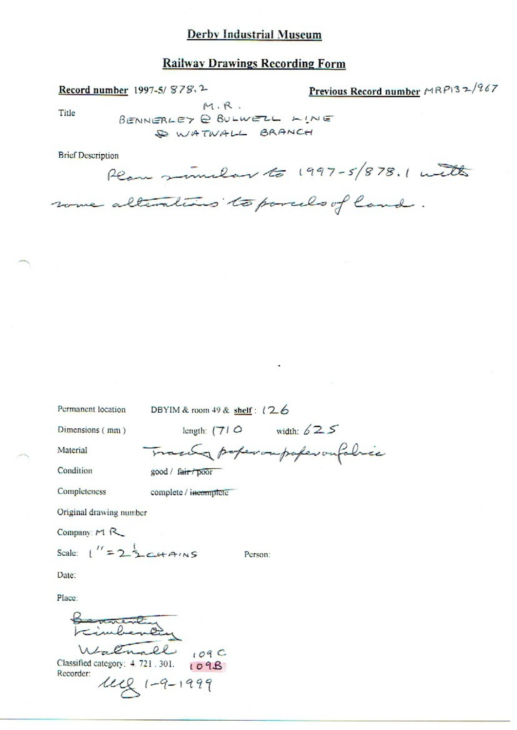#### **Railway Drawings Recording Form**

Record number 1997-5/878.2

Previous Record number MRP132/967

Title

BENNERLEY @ BULWELL LINE SO WATWALL BRANCH

some alterations to porcels of land.

 $M.R.$ 

**Brief Description** 

Plan similar to 1997-5/878.1 with

DBYIM & room 49 & shelf:  $(26$ 

Dimensions (mm)

Permanent location

length:  $(71 \circ$  width:  $625$ 

Person:

Material Condition Trace poperoupoferonfolice good / fair / poor

complete / incomplete

Completeness

Original drawing number

Company:  $M R$ 

Scale:  $\lfloor$ " = 2 3 c+AINS

Date:

Place:

annenting Walnall 109C Classified category: 4.721.301. 109B Recorder:

 $242 (1 - 9 - 1999)$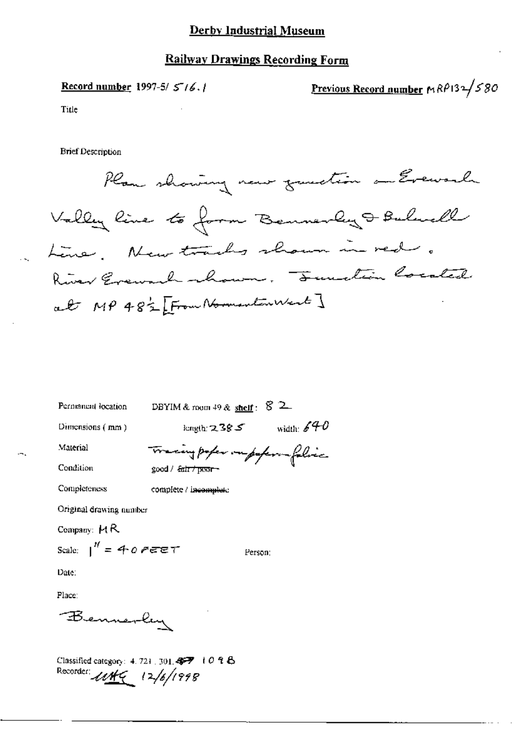### **Railway Drawings Recording Form**

Record number 1997-5/ $5/6.1$ 

Previous Record number  $MRP132/580$ 

Title

**Brief Description** 



| Permanent location          | DBYIM & room $49$ & shelf:      | 82           |
|-----------------------------|---------------------------------|--------------|
| Dimensions $(mm)$           | kngth: $238S$                   | width: $640$ |
| Material                    | Tracing paper on paper falice   |              |
| Condition                   | good / <del>fair / poor -</del> |              |
| Completeness                | complete / incomplete           |              |
| Original drawing number     |                                 |              |
| Company: $H$ R              |                                 |              |
| Scale: $\int_0^R = 40$ PEET |                                 | Person:      |
| Date∶                       |                                 |              |
| Place:                      |                                 |              |
| Bennerley                   |                                 |              |
|                             |                                 |              |

Classified category: 4.721, 301.457 + 0 2 & Recorder: 1149 12/6/1998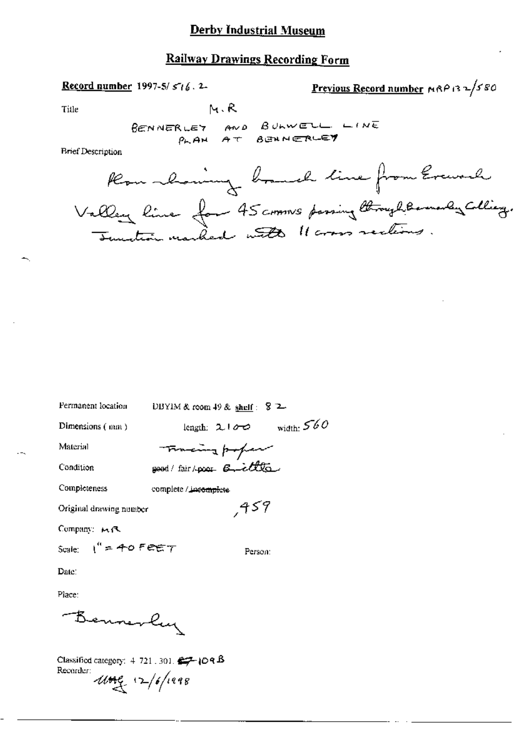# Railway Drawings Recording Form

# Record number 1997-5/516.2-

$$
Previous Record number  $mRP$  (3.2) 5.80
$$

Title

$$
\vdash_{\mathsf{N}} R
$$

**Brief Description** 

| Permanent location            | DBYIM & room 49 & shelf: $\sqrt{2}$ 2 |
|-------------------------------|---------------------------------------|
| Dimensions (mm)               | width: $560$<br>length: $2!00$        |
| Material                      | Thereing poper                        |
| Condition                     | good/fair/poor 6-cllle                |
| Completeness                  | complete / incomplete                 |
| Original drawing number       | 459,                                  |
| Company: MR                   |                                       |
| Scale: $1'' = 40$ Feet $\tau$ | Person:                               |
| Date:                         |                                       |
| Place:                        |                                       |
| Benner                        |                                       |

Classified category:  $4\,721\,.\,301.$   $\Longleftrightarrow$   $[O \, 9 \, \text{B}]$ Recorder:  $\frac{1}{4\pi\epsilon_0}$  12/6/1998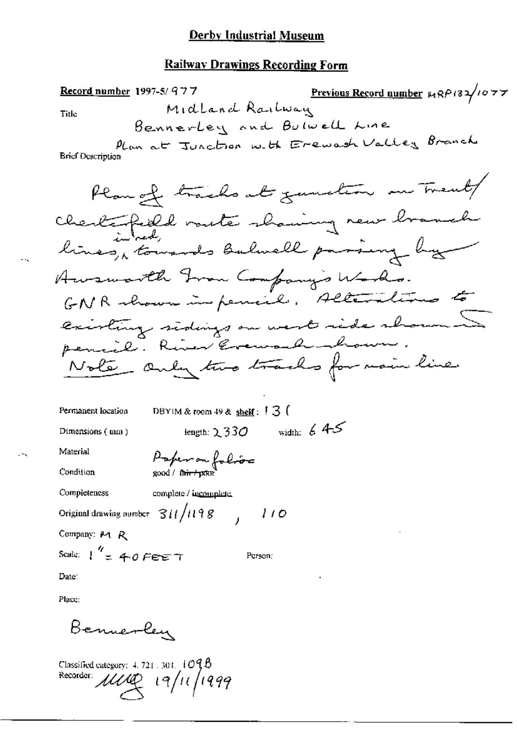### **Railway Drawings Recording Form**

Previous Record number  $\kappa R P$ 132/1077 Record number 1997-5/977 Midland Railway Title Bennerley and Bulwell Line Plan at Junction with Erewash Valley Branch **Brief Ocseription** Plan of tracks at zumstem on Trent Chertapild voute showing new branch lines, towards balwell parsing by Awsworth From Company's Works. GNR shown in pencil, Alterations to existing sidings on west side shown 5 pencil. River Evenach - how. Note andy two tracks for main line DBYIM & room  $49$  & shelf:  $13$  ( Permanent location length:  $2330$  width:  $645$ Dimensions (mm) Paper on folios Material Condition Completeness complete / incomplete. Original drawing number  $311/1198$  $110$ Company: M R Scale:  $\int_{-\pi}^{\pi} 40$  Fee T Person: Date:

Place:

Bennerley

Classified category:  $4.721 \pm 301$ ,  $1095$ Recorder: 1110 19/11/1999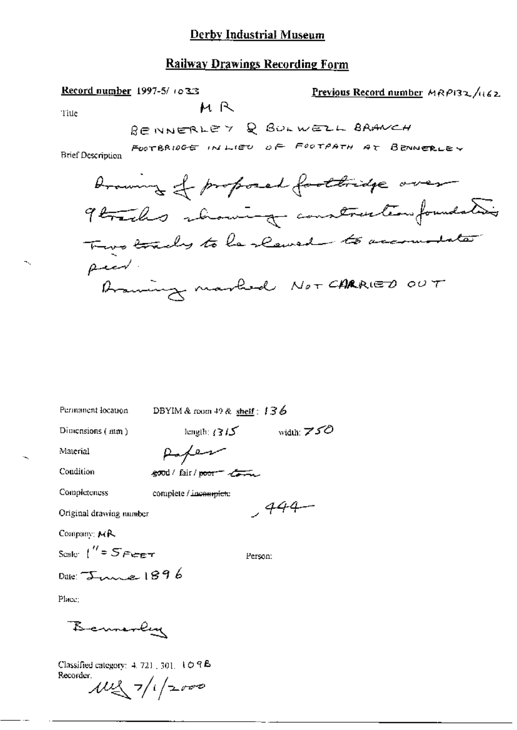### **Railway Drawings Recording Form**

МR

Record number 1997-5/1033

Previous Record number MRP132/162

Title

RENNERLEY & BULWELL BRANCH

FOOTBRIDGE IN LIEU OF FOOTPATH AT BENNERLEY

**Brief Description** 



Permanent location

DBYIM & room 49 & shelf:  $136$ 

Dimensions  $($  mm $)$ 

length:  $(315 \text{ width: } 750)$ 

 $,444-$ 

Material Condition

Paper good/fair/poor to

Completeness

complete / incomplete

Original drawing number

Company: MR

Scale:  $1'' = 5$  Free  $\tau$ 

Person:

Date:  $\tau_{v}$  1896

Place:

Bennerlyn

Classified category:  $4.721 \pm 301.$   $1 \odot 9$  B Recorder.

 $102 - 7/1/2000$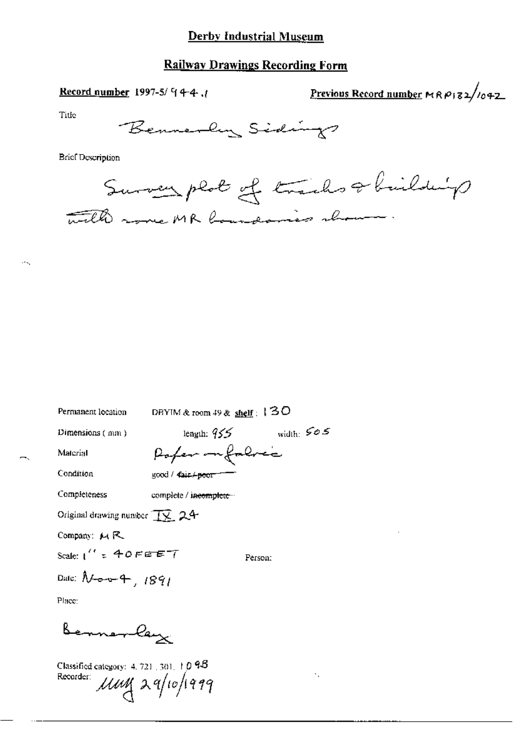### **Railway Drawings Recording Form**

Record number 1997-5/ $94-4$ ,

Previous Record number  $MRP$ 182/1042

Title

Bennerly Sidings

**Brief Description** 

Survey plot of tracks & building with more MR boundaries about

DBYIM & room 49 & shelf:  $130$ Permanent location length:  $955$  width:  $505$ Dimensions (mm) Pofer infalred Material Condition good / Cair / poor Completeness complete / incomplete... Original drawing number  $\overline{12}$ , 24 Company:  $M R$ Scale:  $1''$  = 40FEE7 Person: Date:  $N$ -o-v- $4$ , 1891 Place: Bennerlay Classified category:  $4, 721, 301, 10, 95$ Recorder: *UWL* 29/10/1999  $\ddot{\phantom{a}}$  .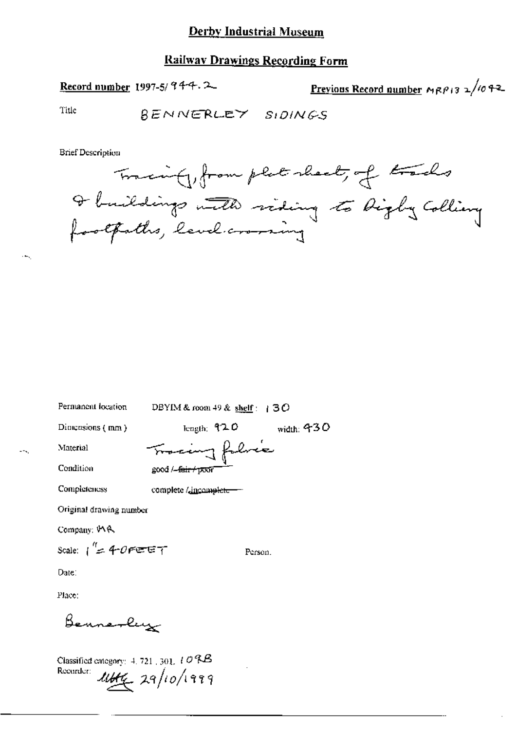### **Railway Drawings Recording Form**

Record number 1997-5/944.2

Previous Record number  $MRP/3 \ge 1/10.42$ 

Title

BENNERLEY SIDINGS

**Brief Description** 



| Permanent location             | DBYIM & room 49 & shelf $\pm$ 3 O        |              |
|--------------------------------|------------------------------------------|--------------|
| Dimensions (mm)                | length: $920$                            | width: $430$ |
| Material                       | Tracing folice                           |              |
| Condition                      | good / <del>-fair/ poo</del> r           |              |
| Completeness                   | complete / <u>.incomplet<del>e</del></u> |              |
| Original drawing number        |                                          |              |
| Company: IAA                   |                                          |              |
| Scale: $\int^{\eta} = 40$ FEET |                                          | Person.      |
| Date:                          |                                          |              |
| Place:                         |                                          |              |
|                                |                                          |              |

Classified entegory:  $4, 721$ ,  $301, 10$  RB Recorder: 1444 29/10/1999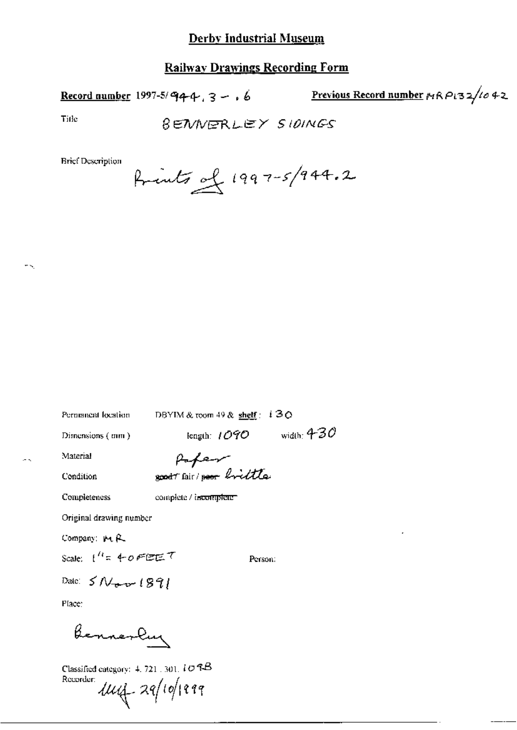## **Railway Drawings Recording Form**

Record number 1997-5/944,  $3 - 6$  Previous Record number  $nRP(32/1042)$ 

Title

÷.

**BENNERLEY SIDINGS** 

**Brief Description** 

Permanent location

DBYIM & toom 49 & shelf: i30

Dimensions (mm)

length:  $1090$  width:  $430$ 

Material

Papar good fair poor brittle

Condition

**Completeness** 

complete / incomplete

Original drawing number

Company: Pt R.

Scale:  $1^{\prime\prime}$ = 40FEET

Person:

Date:  $5N_{\text{env}}$  1891

Place:

Bennerlay

Classified category:  $4, 721, 301, i \mathcal{O}$  RB Recorder:

 $114 - 29/10/1999$